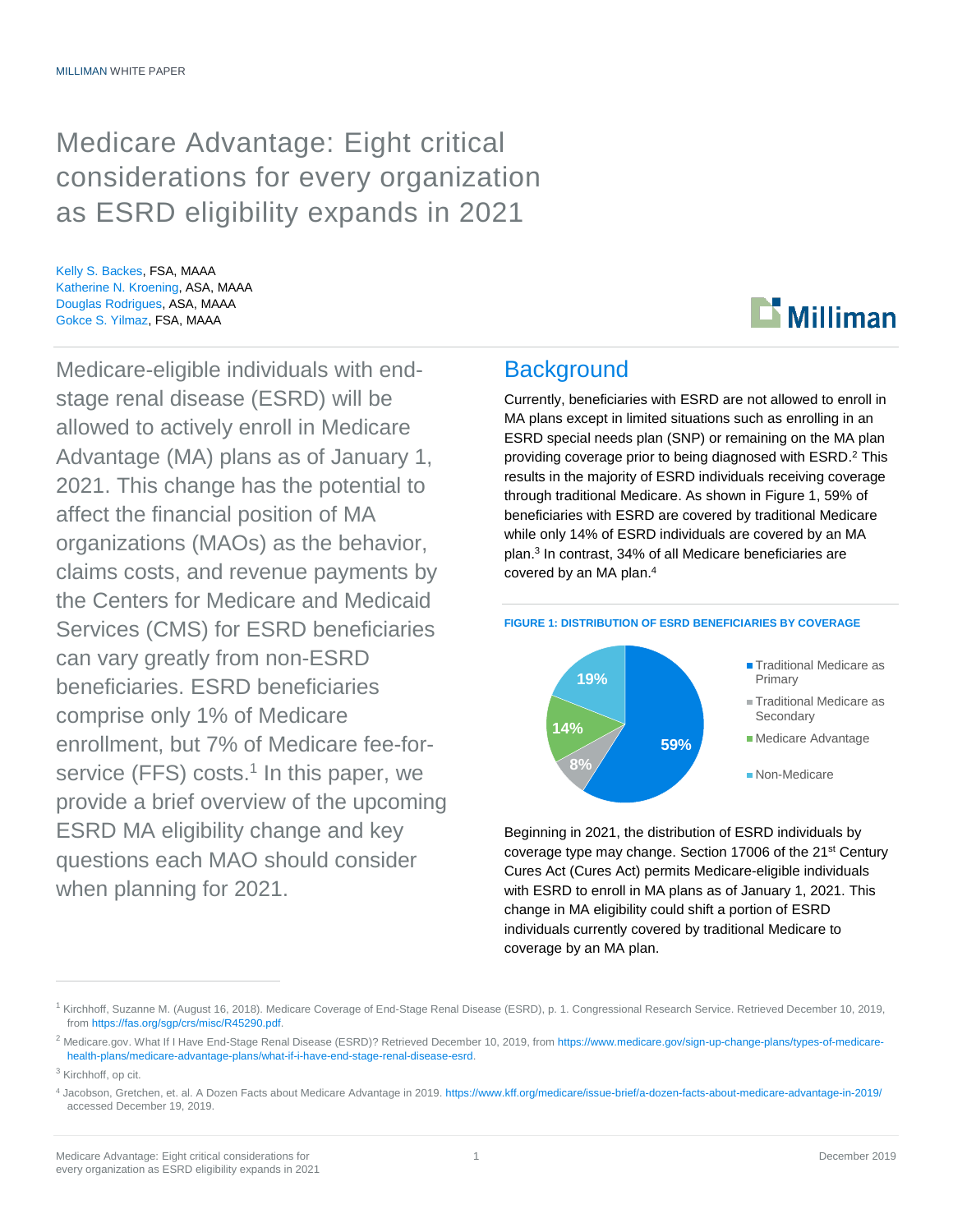## Medicare Advantage: Eight critical considerations for every organization as ESRD eligibility expands in 2021

Kelly S. Backes, FSA, MAAA Katherine N. Kroening, ASA, MAAA Douglas Rodrigues, ASA, MAAA Gokce S. Yilmaz, FSA, MAAA

Medicare-eligible individuals with endstage renal disease (ESRD) will be allowed to actively enroll in Medicare Advantage (MA) plans as of January 1, 2021. This change has the potential to affect the financial position of MA organizations (MAOs) as the behavior, claims costs, and revenue payments by the Centers for Medicare and Medicaid Services (CMS) for ESRD beneficiaries can vary greatly from non-ESRD beneficiaries. ESRD beneficiaries comprise only 1% of Medicare enrollment, but 7% of Medicare fee-forservice (FFS) costs.<sup>1</sup> In this paper, we provide a brief overview of the upcoming ESRD MA eligibility change and key questions each MAO should consider when planning for 2021.

## **Background**

Currently, beneficiaries with ESRD are not allowed to enroll in MA plans except in limited situations such as enrolling in an ESRD special needs plan (SNP) or remaining on the MA plan providing coverage prior to being diagnosed with ESRD. <sup>2</sup> This results in the majority of ESRD individuals receiving coverage through traditional Medicare. As shown in Figure 1, 59% of beneficiaries with ESRD are covered by traditional Medicare while only 14% of ESRD individuals are covered by an MA plan.<sup>3</sup> In contrast, 34% of all Medicare beneficiaries are covered by an MA plan. 4

 $\mathbf{D}$  Milliman

#### **FIGURE 1: DISTRIBUTION OF ESRD BENEFICIARIES BY COVERAGE**



Beginning in 2021, the distribution of ESRD individuals by coverage type may change. Section 17006 of the 21<sup>st</sup> Century Cures Act (Cures Act) permits Medicare-eligible individuals with ESRD to enroll in MA plans as of January 1, 2021. This change in MA eligibility could shift a portion of ESRD individuals currently covered by traditional Medicare to coverage by an MA plan.

<sup>&</sup>lt;sup>1</sup> Kirchhoff, Suzanne M. (August 16, 2018). Medicare Coverage of End-Stage Renal Disease (ESRD), p. 1. Congressional Research Service. Retrieved December 10, 2019, fro[m https://fas.org/sgp/crs/misc/R45290.pdf.](https://fas.org/sgp/crs/misc/R45290.pdf)

<sup>&</sup>lt;sup>2</sup> Medicare.gov. What If I Have End-Stage Renal Disease (ESRD)? Retrieved December 10, 2019, fro[m https://www.medicare.gov/sign-up-change-plans/types-of-medicare](https://www.medicare.gov/sign-up-change-plans/types-of-medicare-health-plans/medicare-advantage-plans/what-if-i-have-end-stage-renal-disease-esrd)[health-plans/medicare-advantage-plans/what-if-i-have-end-stage-renal-disease-esrd.](https://www.medicare.gov/sign-up-change-plans/types-of-medicare-health-plans/medicare-advantage-plans/what-if-i-have-end-stage-renal-disease-esrd)

<sup>&</sup>lt;sup>3</sup> Kirchhoff, op cit.

<sup>4</sup> Jacobson, Gretchen, et. al. A Dozen Facts about Medicare Advantage in 2019[. https://www.kff.org/medicare/issue-brief/a-dozen-facts-about-medicare-advantage-in-2019/](https://www.kff.org/medicare/issue-brief/a-dozen-facts-about-medicare-advantage-in-2019/) accessed December 19, 2019.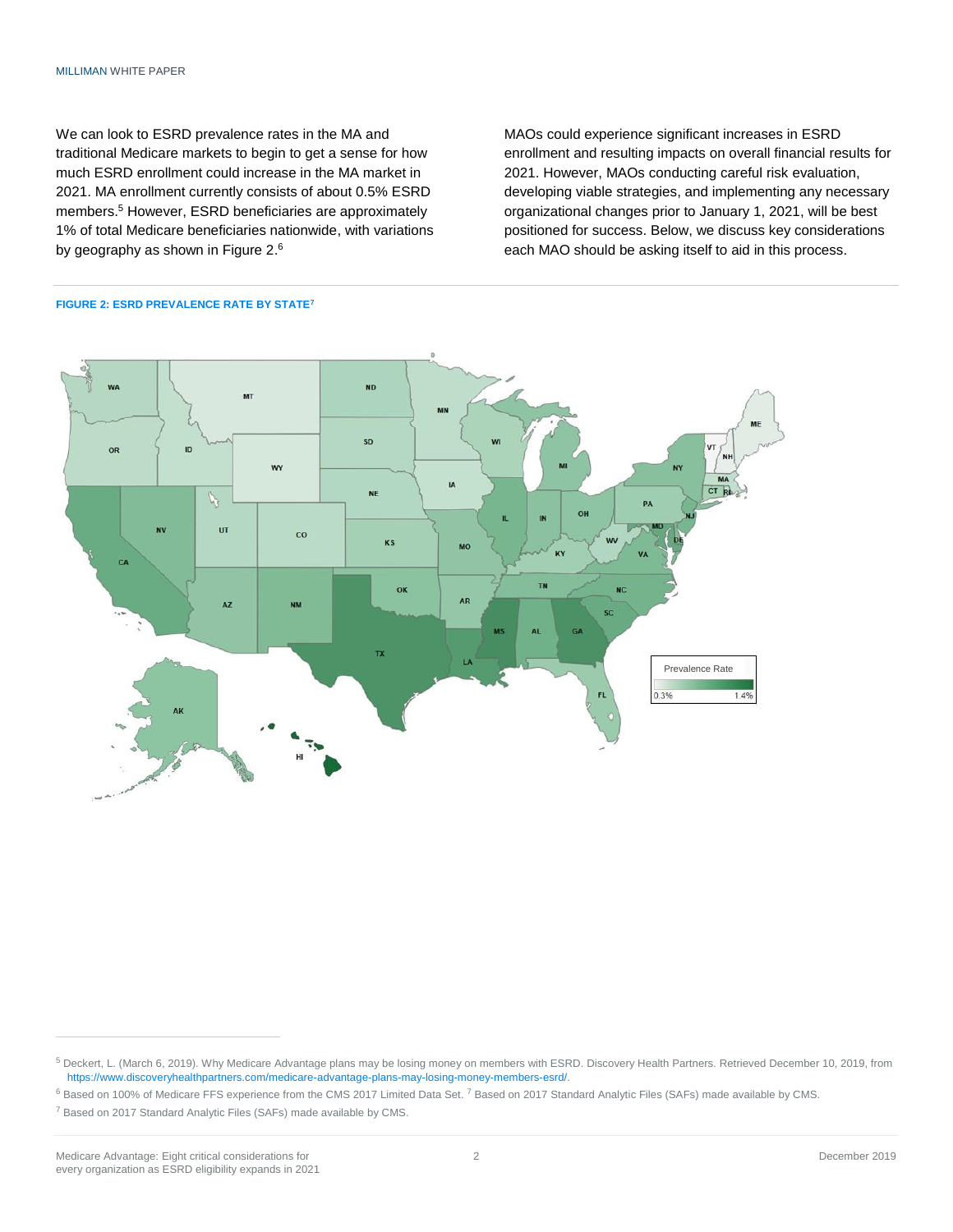We can look to ESRD prevalence rates in the MA and traditional Medicare markets to begin to get a sense for how much ESRD enrollment could increase in the MA market in 2021. MA enrollment currently consists of about 0.5% ESRD members. <sup>5</sup> However, ESRD beneficiaries are approximately 1% of total Medicare beneficiaries nationwide, with variations by geography as shown in Figure 2. $^6$ 

MAOs could experience significant increases in ESRD enrollment and resulting impacts on overall financial results for 2021. However, MAOs conducting careful risk evaluation, developing viable strategies, and implementing any necessary organizational changes prior to January 1, 2021, will be best positioned for success. Below, we discuss key considerations each MAO should be asking itself to aid in this process.



#### **FIGURE 2: ESRD PREVALENCE RATE BY STATE<sup>7</sup>**

<sup>5</sup> Deckert, L. (March 6, 2019). Why Medicare Advantage plans may be losing money on members with ESRD. Discovery Health Partners. Retrieved December 10, 2019, from [https://www.discoveryhealthpartners.com/medicare-advantage-plans-may-losing-money-members-esrd/.](https://www.discoveryhealthpartners.com/medicare-advantage-plans-may-losing-money-members-esrd/)

<sup>&</sup>lt;sup>6</sup> Based on 100% of Medicare FFS experience from the CMS 2017 Limited Data Set. <sup>7</sup> Based on 2017 Standard Analytic Files (SAFs) made available by CMS.

<sup>7</sup> Based on 2017 Standard Analytic Files (SAFs) made available by CMS.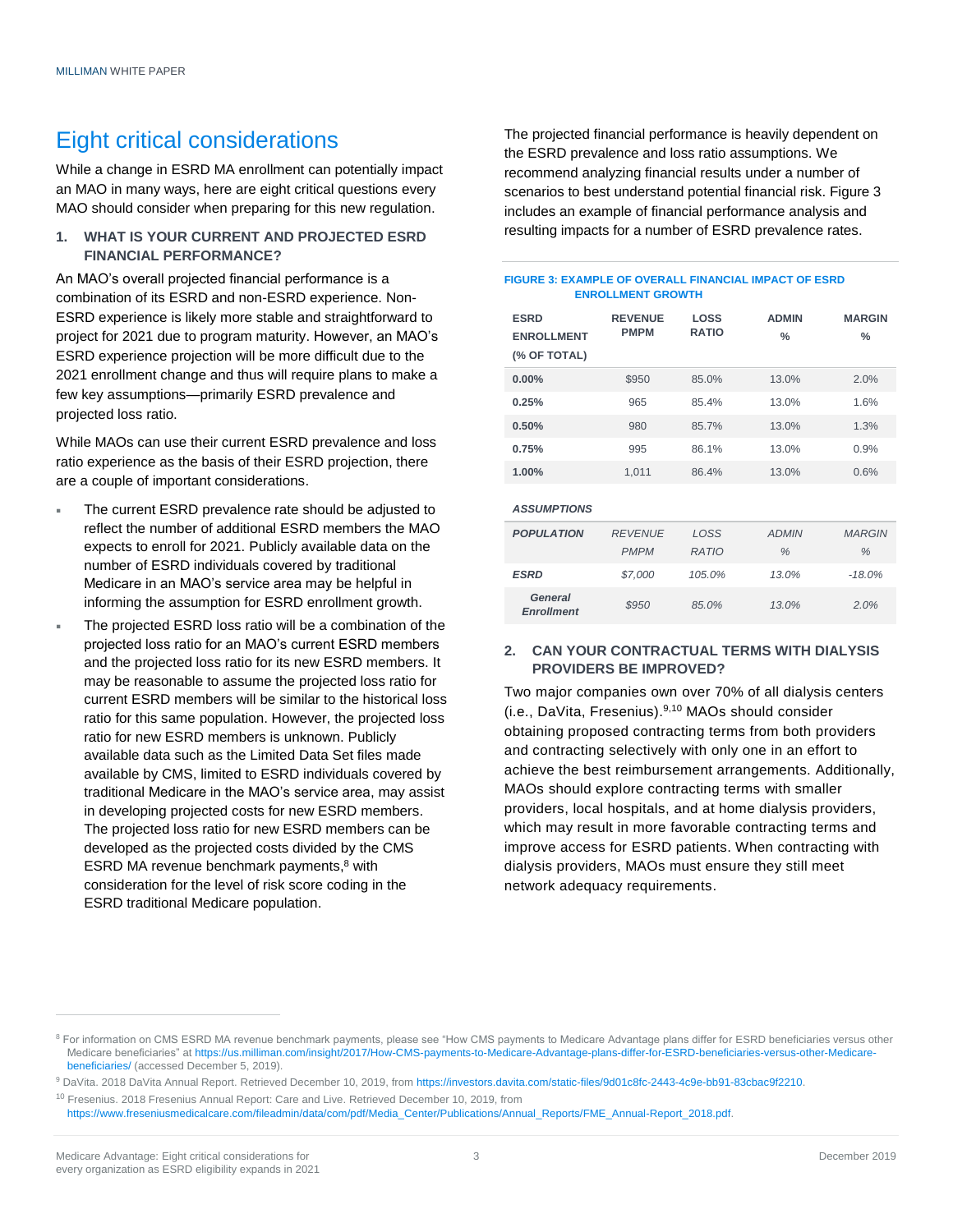## Eight critical considerations

While a change in ESRD MA enrollment can potentially impact an MAO in many ways, here are eight critical questions every MAO should consider when preparing for this new regulation.

#### **1. WHAT IS YOUR CURRENT AND PROJECTED ESRD FINANCIAL PERFORMANCE?**

An MAO's overall projected financial performance is a combination of its ESRD and non-ESRD experience. Non-ESRD experience is likely more stable and straightforward to project for 2021 due to program maturity. However, an MAO's ESRD experience projection will be more difficult due to the 2021 enrollment change and thus will require plans to make a few key assumptions—primarily ESRD prevalence and projected loss ratio.

While MAOs can use their current ESRD prevalence and loss ratio experience as the basis of their ESRD projection, there are a couple of important considerations.

- The current ESRD prevalence rate should be adjusted to reflect the number of additional ESRD members the MAO expects to enroll for 2021. Publicly available data on the number of ESRD individuals covered by traditional Medicare in an MAO's service area may be helpful in informing the assumption for ESRD enrollment growth.
- The projected ESRD loss ratio will be a combination of the projected loss ratio for an MAO's current ESRD members and the projected loss ratio for its new ESRD members. It may be reasonable to assume the projected loss ratio for current ESRD members will be similar to the historical loss ratio for this same population. However, the projected loss ratio for new ESRD members is unknown. Publicly available data such as the Limited Data Set files made available by CMS, limited to ESRD individuals covered by traditional Medicare in the MAO's service area, may assist in developing projected costs for new ESRD members. The projected loss ratio for new ESRD members can be developed as the projected costs divided by the CMS ESRD MA revenue benchmark payments, <sup>8</sup> with consideration for the level of risk score coding in the ESRD traditional Medicare population.

The projected financial performance is heavily dependent on the ESRD prevalence and loss ratio assumptions. We recommend analyzing financial results under a number of scenarios to best understand potential financial risk. Figure 3 includes an example of financial performance analysis and resulting impacts for a number of ESRD prevalence rates.

#### **FIGURE 3: EXAMPLE OF OVERALL FINANCIAL IMPACT OF ESRD ENROLLMENT GROWTH**

| <b>ESRD</b><br><b>ENROLLMENT</b><br>(% OF TOTAL) | <b>REVENUE</b><br><b>PMPM</b> | <b>LOSS</b><br><b>RATIO</b> | <b>ADMIN</b><br>$\%$ | <b>MARGIN</b><br>$\frac{0}{2}$ |
|--------------------------------------------------|-------------------------------|-----------------------------|----------------------|--------------------------------|
| 0.00%                                            | \$950                         | 85.0%                       | 13.0%                | 2.0%                           |
| 0.25%                                            | 965                           | 85.4%                       | 13.0%                | 1.6%                           |
| 0.50%                                            | 980                           | 85.7%                       | 13.0%                | 1.3%                           |
| 0.75%                                            | 995                           | 86.1%                       | 13.0%                | 0.9%                           |
| 1.00%                                            | 1,011                         | 86.4%                       | 13.0%                | 0.6%                           |
|                                                  |                               |                             |                      |                                |

| <b>ASSUMPTIONS</b>           |                |              |              |               |
|------------------------------|----------------|--------------|--------------|---------------|
| <b>POPULATION</b>            | <b>REVENUE</b> | LOSS         | <b>ADMIN</b> | <b>MARGIN</b> |
|                              | <b>PMPM</b>    | <b>RATIO</b> | %            | $\%$          |
| ESRD                         | \$7.000        | 105.0%       | 13.0%        | $-18.0\%$     |
| General<br><b>Enrollment</b> | \$950          | 85.0%        | 13.0%        | 2.0%          |

#### **2. CAN YOUR CONTRACTUAL TERMS WITH DIALYSIS PROVIDERS BE IMPROVED?**

Two major companies own over 70% of all dialysis centers (i.e., DaVita, Fresenius). 9,10 MAOs should consider obtaining proposed contracting terms from both providers and contracting selectively with only one in an effort to achieve the best reimbursement arrangements. Additionally, MAOs should explore contracting terms with smaller providers, local hospitals, and at home dialysis providers, which may result in more favorable contracting terms and improve access for ESRD patients. When contracting with dialysis providers, MAOs must ensure they still meet network adequacy requirements.

<sup>&</sup>lt;sup>8</sup> For information on CMS ESRD MA revenue benchmark payments, please see "How CMS payments to Medicare Advantage plans differ for ESRD beneficiaries versus other Medicare beneficiaries" a[t https://us.milliman.com/insight/2017/How-CMS-payments-to-Medicare-Advantage-plans-differ-for-ESRD-beneficiaries-versus-other-Medicare](https://us.milliman.com/insight/2017/How-CMS-payments-to-Medicare-Advantage-plans-differ-for-ESRD-beneficiaries-versus-other-Medicare-beneficiaries/)[beneficiaries/](https://us.milliman.com/insight/2017/How-CMS-payments-to-Medicare-Advantage-plans-differ-for-ESRD-beneficiaries-versus-other-Medicare-beneficiaries/) (accessed December 5, 2019).

<sup>9</sup> DaVita. 2018 DaVita Annual Report. Retrieved December 10, 2019, fro[m https://investors.davita.com/static-files/9d01c8fc-2443-4c9e-bb91-83cbac9f2210.](https://investors.davita.com/static-files/9d01c8fc-2443-4c9e-bb91-83cbac9f2210%20Accessed%20November%204)

<sup>&</sup>lt;sup>10</sup> Fresenius. 2018 Fresenius Annual Report: Care and Live. Retrieved December 10, 2019, from

[https://www.freseniusmedicalcare.com/fileadmin/data/com/pdf/Media\\_Center/Publications/Annual\\_Reports/FME\\_Annual-Report\\_2018.pdf.](https://www.freseniusmedicalcare.com/fileadmin/data/com/pdf/Media_Center/Publications/Annual_Reports/FME_Annual-Report_2018.pdf)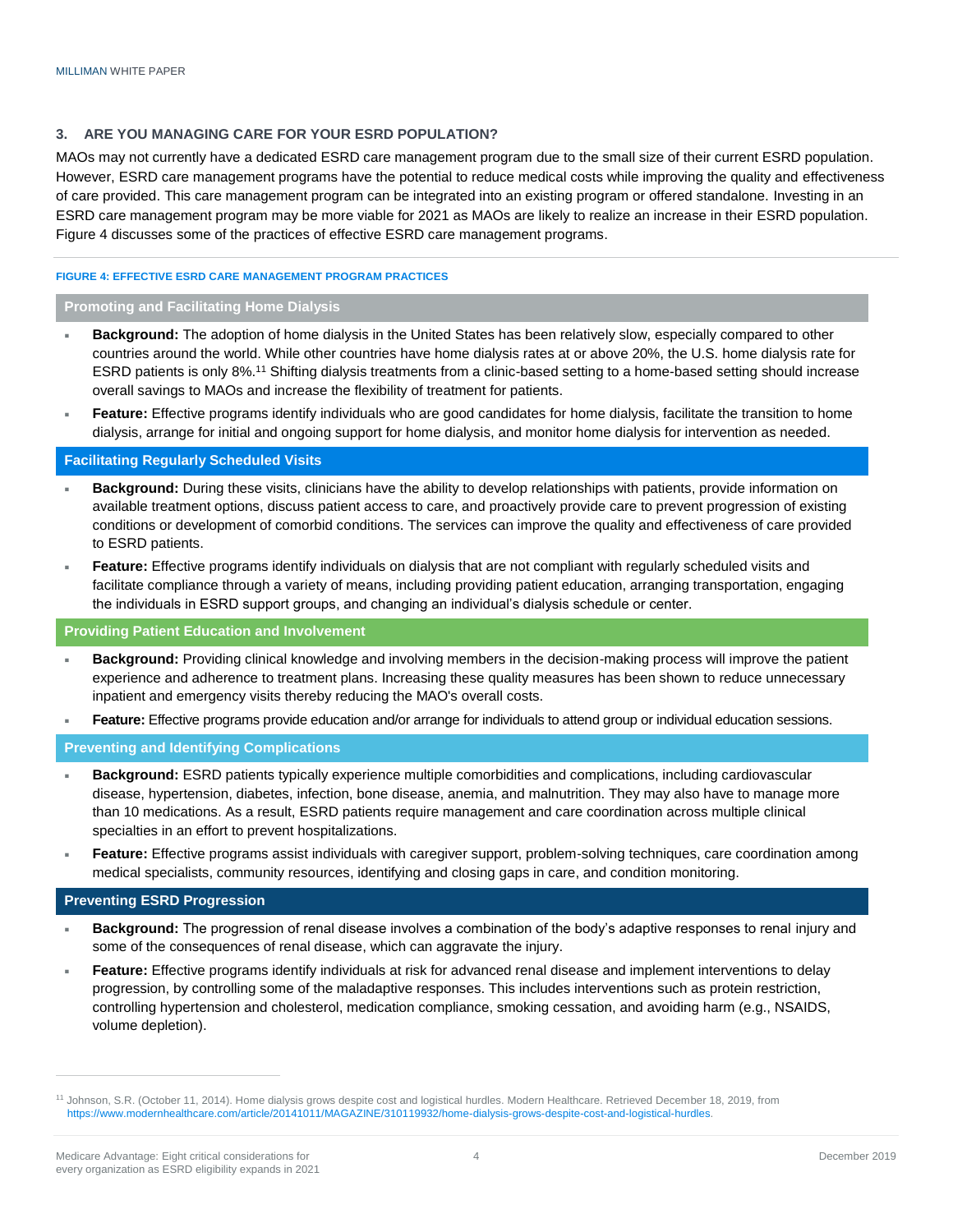#### **3. ARE YOU MANAGING CARE FOR YOUR ESRD POPULATION?**

MAOs may not currently have a dedicated ESRD care management program due to the small size of their current ESRD population. However, ESRD care management programs have the potential to reduce medical costs while improving the quality and effectiveness of care provided. This care management program can be integrated into an existing program or offered standalone. Investing in an ESRD care management program may be more viable for 2021 as MAOs are likely to realize an increase in their ESRD population. Figure 4 discusses some of the practices of effective ESRD care management programs.

#### **FIGURE 4: EFFECTIVE ESRD CARE MANAGEMENT PROGRAM PRACTICES**

#### **Promoting and Facilitating Home Dialysis**

- **Background:** The adoption of home dialysis in the United States has been relatively slow, especially compared to other countries around the world. While other countries have home dialysis rates at or above 20%, the U.S. home dialysis rate for ESRD patients is only 8%.<sup>11</sup> Shifting dialysis treatments from a clinic-based setting to a home-based setting should increase overall savings to MAOs and increase the flexibility of treatment for patients.
- **Feature:** Effective programs identify individuals who are good candidates for home dialysis, facilitate the transition to home dialysis, arrange for initial and ongoing support for home dialysis, and monitor home dialysis for intervention as needed.

#### **Facilitating Regularly Scheduled Visits**

- **Background:** During these visits, clinicians have the ability to develop relationships with patients, provide information on available treatment options, discuss patient access to care, and proactively provide care to prevent progression of existing conditions or development of comorbid conditions. The services can improve the quality and effectiveness of care provided to ESRD patients.
- **Feature:** Effective programs identify individuals on dialysis that are not compliant with regularly scheduled visits and facilitate compliance through a variety of means, including providing patient education, arranging transportation, engaging the individuals in ESRD support groups, and changing an individual's dialysis schedule or center.

#### **Providing Patient Education and Involvement**

- **Background:** Providing clinical knowledge and involving members in the decision-making process will improve the patient experience and adherence to treatment plans. Increasing these quality measures has been shown to reduce unnecessary inpatient and emergency visits thereby reducing the MAO's overall costs.
- **Feature:** Effective programs provide education and/or arrange for individuals to attend group or individual education sessions.

#### **Preventing and Identifying Complications**

- **Background:** ESRD patients typically experience multiple comorbidities and complications, including cardiovascular disease, hypertension, diabetes, infection, bone disease, anemia, and malnutrition. They may also have to manage more than 10 medications. As a result, ESRD patients require management and care coordination across multiple clinical specialties in an effort to prevent hospitalizations.
- **Feature:** Effective programs assist individuals with caregiver support, problem-solving techniques, care coordination among medical specialists, community resources, identifying and closing gaps in care, and condition monitoring.

#### **Preventing ESRD Progression**

- **Background:** The progression of renal disease involves a combination of the body's adaptive responses to renal injury and some of the consequences of renal disease, which can aggravate the injury.
- **Feature:** Effective programs identify individuals at risk for advanced renal disease and implement interventions to delay progression, by controlling some of the maladaptive responses. This includes interventions such as protein restriction, controlling hypertension and cholesterol, medication compliance, smoking cessation, and avoiding harm (e.g., NSAIDS, volume depletion).

<sup>&</sup>lt;sup>11</sup> Johnson, S.R. (October 11, 2014). Home dialysis grows despite cost and logistical hurdles. Modern Healthcare. Retrieved December 18, 2019, from [https://www.modernhealthcare.com/article/20141011/MAGAZINE/310119932/home-dialysis-grows-despite-cost-and-logistical-hurdles.](https://www.modernhealthcare.com/article/20141011/MAGAZINE/310119932/home-dialysis-grows-despite-cost-and-logistical-hurdles)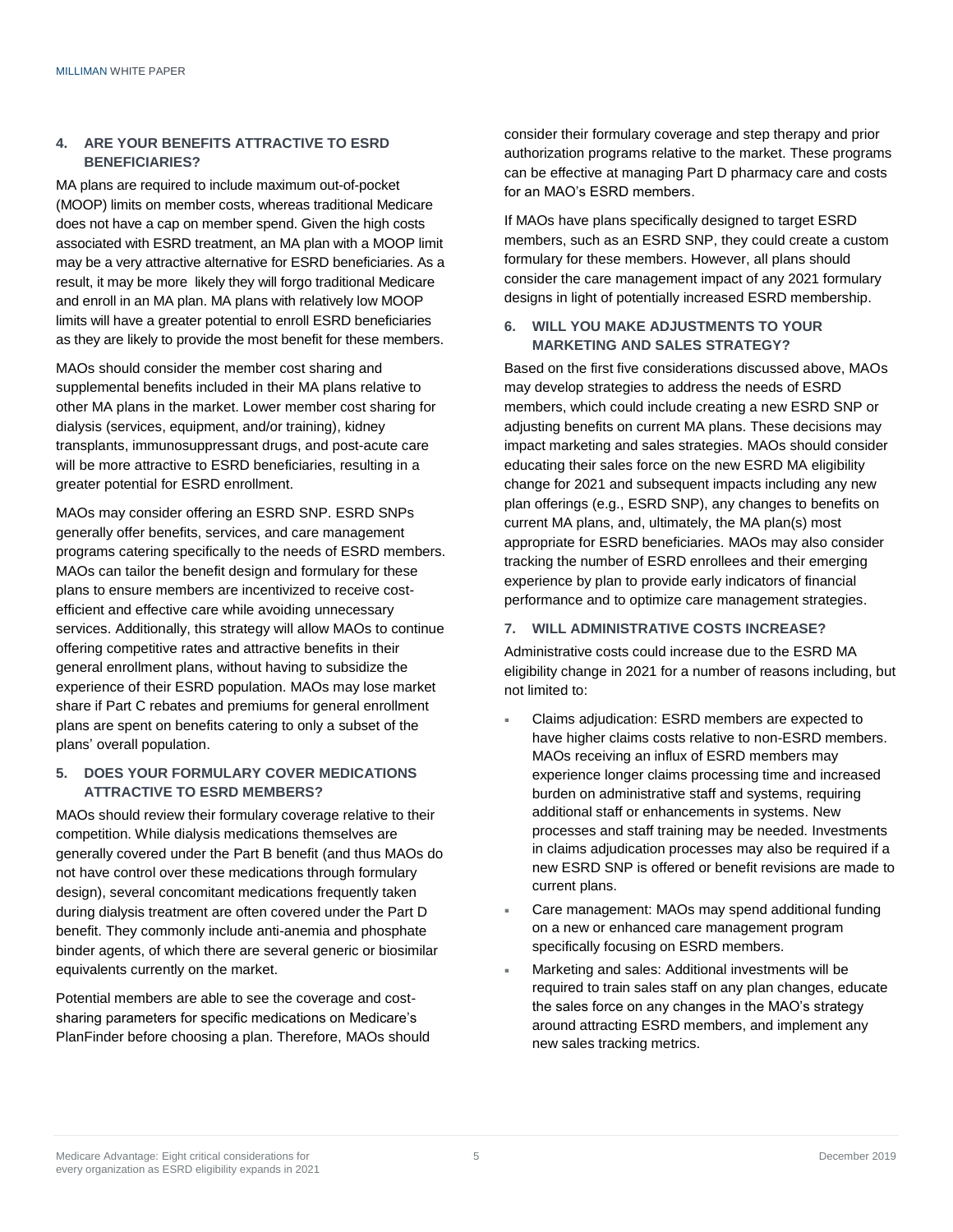#### **4. ARE YOUR BENEFITS ATTRACTIVE TO ESRD BENEFICIARIES?**

MA plans are required to include maximum out-of-pocket (MOOP) limits on member costs, whereas traditional Medicare does not have a cap on member spend. Given the high costs associated with ESRD treatment, an MA plan with a MOOP limit may be a very attractive alternative for ESRD beneficiaries. As a result, it may be more likely they will forgo traditional Medicare and enroll in an MA plan. MA plans with relatively low MOOP limits will have a greater potential to enroll ESRD beneficiaries as they are likely to provide the most benefit for these members.

MAOs should consider the member cost sharing and supplemental benefits included in their MA plans relative to other MA plans in the market. Lower member cost sharing for dialysis (services, equipment, and/or training), kidney transplants, immunosuppressant drugs, and post-acute care will be more attractive to ESRD beneficiaries, resulting in a greater potential for ESRD enrollment.

MAOs may consider offering an ESRD SNP. ESRD SNPs generally offer benefits, services, and care management programs catering specifically to the needs of ESRD members. MAOs can tailor the benefit design and formulary for these plans to ensure members are incentivized to receive costefficient and effective care while avoiding unnecessary services. Additionally, this strategy will allow MAOs to continue offering competitive rates and attractive benefits in their general enrollment plans, without having to subsidize the experience of their ESRD population. MAOs may lose market share if Part C rebates and premiums for general enrollment plans are spent on benefits catering to only a subset of the plans' overall population.

#### **5. DOES YOUR FORMULARY COVER MEDICATIONS ATTRACTIVE TO ESRD MEMBERS?**

MAOs should review their formulary coverage relative to their competition. While dialysis medications themselves are generally covered under the Part B benefit (and thus MAOs do not have control over these medications through formulary design), several concomitant medications frequently taken during dialysis treatment are often covered under the Part D benefit. They commonly include anti-anemia and phosphate binder agents, of which there are several generic or biosimilar equivalents currently on the market.

Potential members are able to see the coverage and costsharing parameters for specific medications on Medicare's PlanFinder before choosing a plan. Therefore, MAOs should consider their formulary coverage and step therapy and prior authorization programs relative to the market. These programs can be effective at managing Part D pharmacy care and costs for an MAO's ESRD members.

If MAOs have plans specifically designed to target ESRD members, such as an ESRD SNP, they could create a custom formulary for these members. However, all plans should consider the care management impact of any 2021 formulary designs in light of potentially increased ESRD membership.

#### **6. WILL YOU MAKE ADJUSTMENTS TO YOUR MARKETING AND SALES STRATEGY?**

Based on the first five considerations discussed above, MAOs may develop strategies to address the needs of ESRD members, which could include creating a new ESRD SNP or adjusting benefits on current MA plans. These decisions may impact marketing and sales strategies. MAOs should consider educating their sales force on the new ESRD MA eligibility change for 2021 and subsequent impacts including any new plan offerings (e.g., ESRD SNP), any changes to benefits on current MA plans, and, ultimately, the MA plan(s) most appropriate for ESRD beneficiaries. MAOs may also consider tracking the number of ESRD enrollees and their emerging experience by plan to provide early indicators of financial performance and to optimize care management strategies.

#### **7. WILL ADMINISTRATIVE COSTS INCREASE?**

Administrative costs could increase due to the ESRD MA eligibility change in 2021 for a number of reasons including, but not limited to:

- Claims adjudication: ESRD members are expected to have higher claims costs relative to non-ESRD members. MAOs receiving an influx of ESRD members may experience longer claims processing time and increased burden on administrative staff and systems, requiring additional staff or enhancements in systems. New processes and staff training may be needed. Investments in claims adjudication processes may also be required if a new ESRD SNP is offered or benefit revisions are made to current plans.
- Care management: MAOs may spend additional funding on a new or enhanced care management program specifically focusing on ESRD members.
- Marketing and sales: Additional investments will be required to train sales staff on any plan changes, educate the sales force on any changes in the MAO's strategy around attracting ESRD members, and implement any new sales tracking metrics.